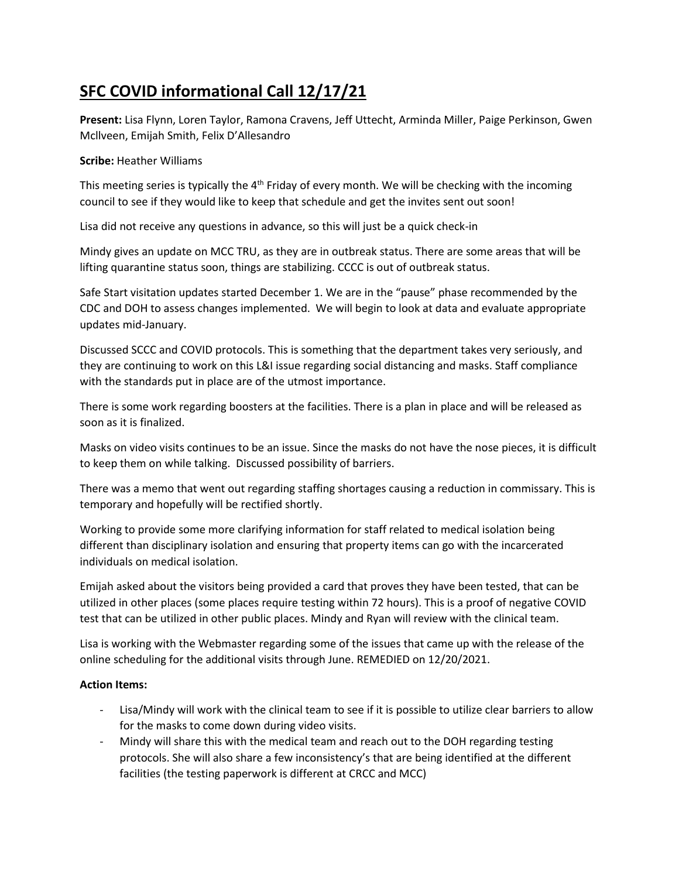## **SFC COVID informational Call 12/17/21**

**Present:** Lisa Flynn, Loren Taylor, Ramona Cravens, Jeff Uttecht, Arminda Miller, Paige Perkinson, Gwen Mcllveen, Emijah Smith, Felix D'Allesandro

## **Scribe:** Heather Williams

This meeting series is typically the  $4<sup>th</sup>$  Friday of every month. We will be checking with the incoming council to see if they would like to keep that schedule and get the invites sent out soon!

Lisa did not receive any questions in advance, so this will just be a quick check-in

Mindy gives an update on MCC TRU, as they are in outbreak status. There are some areas that will be lifting quarantine status soon, things are stabilizing. CCCC is out of outbreak status.

Safe Start visitation updates started December 1. We are in the "pause" phase recommended by the CDC and DOH to assess changes implemented. We will begin to look at data and evaluate appropriate updates mid-January.

Discussed SCCC and COVID protocols. This is something that the department takes very seriously, and they are continuing to work on this L&I issue regarding social distancing and masks. Staff compliance with the standards put in place are of the utmost importance.

There is some work regarding boosters at the facilities. There is a plan in place and will be released as soon as it is finalized.

Masks on video visits continues to be an issue. Since the masks do not have the nose pieces, it is difficult to keep them on while talking. Discussed possibility of barriers.

There was a memo that went out regarding staffing shortages causing a reduction in commissary. This is temporary and hopefully will be rectified shortly.

Working to provide some more clarifying information for staff related to medical isolation being different than disciplinary isolation and ensuring that property items can go with the incarcerated individuals on medical isolation.

Emijah asked about the visitors being provided a card that proves they have been tested, that can be utilized in other places (some places require testing within 72 hours). This is a proof of negative COVID test that can be utilized in other public places. Mindy and Ryan will review with the clinical team.

Lisa is working with the Webmaster regarding some of the issues that came up with the release of the online scheduling for the additional visits through June. REMEDIED on 12/20/2021.

## **Action Items:**

- Lisa/Mindy will work with the clinical team to see if it is possible to utilize clear barriers to allow for the masks to come down during video visits.
- Mindy will share this with the medical team and reach out to the DOH regarding testing protocols. She will also share a few inconsistency's that are being identified at the different facilities (the testing paperwork is different at CRCC and MCC)